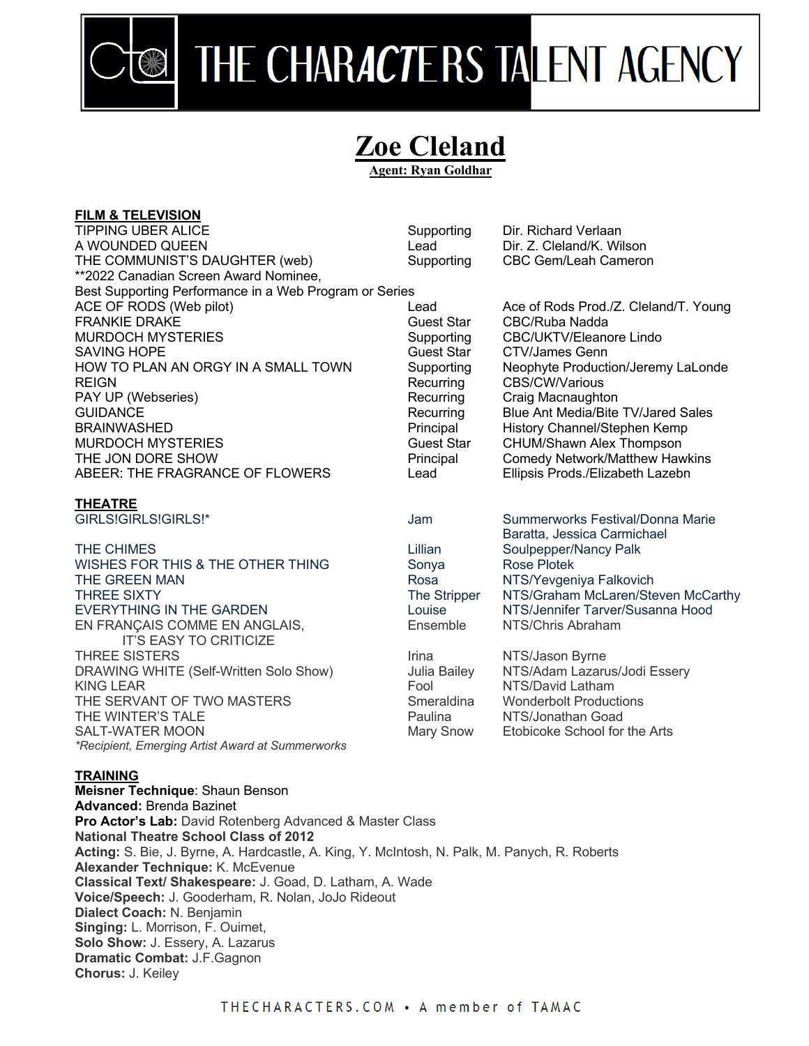

## THE CHARACTERS TALENT AGENCY

## **Zoe Cleland Agent: Ryan Goldhar**

| <b>FILM &amp; TELEVISION</b>                                   |                   |                                           |
|----------------------------------------------------------------|-------------------|-------------------------------------------|
| <b>TIPPING UBER ALICE</b>                                      | Supporting        | Dir. Richard Verlaan                      |
| A WOUNDED QUEEN                                                | Lead              | Dir. Z. Cleland/K. Wilson                 |
| THE COMMUNIST'S DAUGHTER (web)                                 | Supporting        | CBC Gem/Leah Cameron                      |
| **2022 Canadian Screen Award Nominee,                          |                   |                                           |
| Best Supporting Performance in a Web Program or Series         |                   |                                           |
| ACE OF RODS (Web pilot)                                        | Lead              | Ace of Rods Prod./Z. Cleland/T. Young     |
| <b>FRANKIE DRAKE</b>                                           | <b>Guest Star</b> | CBC/Ruba Nadda                            |
| <b>MURDOCH MYSTERIES</b>                                       | Supporting        | CBC/UKTV/Eleanore Lindo                   |
| <b>SAVING HOPE</b>                                             | <b>Guest Star</b> | <b>CTV/James Genn</b>                     |
| HOW TO PLAN AN ORGY IN A SMALL TOWN                            | Supporting        | Neophyte Production/Jeremy LaLonde        |
| <b>REIGN</b>                                                   | Recurring         | CBS/CW/Various                            |
| PAY UP (Webseries)                                             | Recurring         | Craig Macnaughton                         |
| <b>GUIDANCE</b>                                                | Recurring         | <b>Blue Ant Media/Bite TV/Jared Sales</b> |
| <b>BRAINWASHED</b>                                             | Principal         | History Channel/Stephen Kemp              |
| <b>MURDOCH MYSTERIES</b>                                       | <b>Guest Star</b> | CHUM/Shawn Alex Thompson                  |
| THE JON DORE SHOW                                              | Principal         | <b>Comedy Network/Matthew Hawkins</b>     |
| ABEER: THE FRAGRANCE OF FLOWERS                                | Lead              | Ellipsis Prods./Elizabeth Lazebn          |
| <b>THEATRE</b>                                                 |                   |                                           |
| GIRLS!GIRLS!GIRLS!*                                            | Jam               | Summerworks Festival/Donna Marie          |
|                                                                |                   | Baratta, Jessica Carmichael               |
| THE CHIMES                                                     | Lillian           | Soulpepper/Nancy Palk                     |
| WISHES FOR THIS & THE OTHER THING                              | Sonya             | Rose Plotek                               |
| THE GREEN MAN                                                  | Rosa              | NTS/Yevgeniya Falkovich                   |
| <b>THREE SIXTY</b>                                             | The Stripper      | NTS/Graham McLaren/Steven McCarthy        |
| <b>EVERYTHING IN THE GARDEN</b>                                | Louise            | NTS/Jennifer Tarver/Susanna Hood          |
| EN FRANÇAIS COMME EN ANGLAIS,<br><b>IT'S EASY TO CRITICIZE</b> | Ensemble          | NTS/Chris Abraham                         |
| <b>THREE SISTERS</b>                                           | Irina             | NTS/Jason Byrne                           |
| DRAWING WHITE (Self-Written Solo Show)                         | Julia Bailey      | NTS/Adam Lazarus/Jodi Essery              |
| <b>KING LEAR</b>                                               | Fool              | NTS/David Latham                          |
| THE SERVANT OF TWO MASTERS                                     | Smeraldina        | <b>Wonderbolt Productions</b>             |
| THE WINTER'S TALE                                              | Paulina           | NTS/Jonathan Goad                         |
| <b>SALT-WATER MOON</b>                                         | Mary Snow         | Etobicoke School for the Arts             |

## **TRAINING**

*\*Recipient, Emerging Artist Award at Summerworks*

**Meisner Technique**: Shaun Benson **Advanced:** Brenda Bazinet **Pro Actor's Lab:** David Rotenberg Advanced & Master Class **National Theatre School Class of 2012 Acting:** S. Bie, J. Byrne, A. Hardcastle, A. King, Y. McIntosh, N. Palk, M. Panych, R. Roberts **Alexander Technique:** K. McEvenue **Classical Text/ Shakespeare:** J. Goad, D. Latham, A. Wade **Voice/Speech:** J. Gooderham, R. Nolan, JoJo Rideout **Dialect Coach:** N. Benjamin **Singing:** L. Morrison, F. Ouimet, **Solo Show:** J. Essery, A. Lazarus **Dramatic Combat:** J.F.Gagnon **Chorus:** J. Keiley